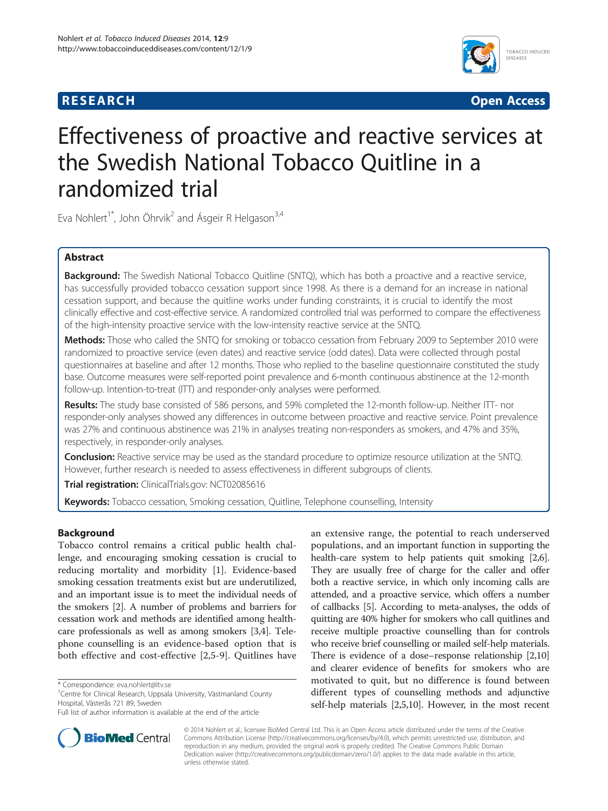## **RESEARCH CHINESE ARCH CHINESE ARCH CHINESE ARCH <b>CHINESE ARCH**



# Effectiveness of proactive and reactive services at the Swedish National Tobacco Quitline in a randomized trial

Eva Nohlert<sup>1\*</sup>, John Öhrvik<sup>2</sup> and Ásgeir R Helgason<sup>3,4</sup>

## Abstract

Background: The Swedish National Tobacco Quitline (SNTQ), which has both a proactive and a reactive service, has successfully provided tobacco cessation support since 1998. As there is a demand for an increase in national cessation support, and because the quitline works under funding constraints, it is crucial to identify the most clinically effective and cost-effective service. A randomized controlled trial was performed to compare the effectiveness of the high-intensity proactive service with the low-intensity reactive service at the SNTQ.

Methods: Those who called the SNTQ for smoking or tobacco cessation from February 2009 to September 2010 were randomized to proactive service (even dates) and reactive service (odd dates). Data were collected through postal questionnaires at baseline and after 12 months. Those who replied to the baseline questionnaire constituted the study base. Outcome measures were self-reported point prevalence and 6-month continuous abstinence at the 12-month follow-up. Intention-to-treat (ITT) and responder-only analyses were performed.

Results: The study base consisted of 586 persons, and 59% completed the 12-month follow-up. Neither ITT- nor responder-only analyses showed any differences in outcome between proactive and reactive service. Point prevalence was 27% and continuous abstinence was 21% in analyses treating non-responders as smokers, and 47% and 35%, respectively, in responder-only analyses.

**Conclusion:** Reactive service may be used as the standard procedure to optimize resource utilization at the SNTQ. However, further research is needed to assess effectiveness in different subgroups of clients.

Trial registration: ClinicalTrials.gov: [NCT02085616](http://www.clinicaltrials.gov/ct2/results?term=NCT02085616&Search=Search)

Keywords: Tobacco cessation, Smoking cessation, Quitline, Telephone counselling, Intensity

## Background

Tobacco control remains a critical public health challenge, and encouraging smoking cessation is crucial to reducing mortality and morbidity [[1\]](#page-8-0). Evidence-based smoking cessation treatments exist but are underutilized, and an important issue is to meet the individual needs of the smokers [\[2](#page-8-0)]. A number of problems and barriers for cessation work and methods are identified among healthcare professionals as well as among smokers [[3,4](#page-8-0)]. Telephone counselling is an evidence-based option that is both effective and cost-effective [\[2,5-9](#page-8-0)]. Quitlines have

an extensive range, the potential to reach underserved populations, and an important function in supporting the health-care system to help patients quit smoking [[2](#page-8-0),[6](#page-8-0)]. They are usually free of charge for the caller and offer both a reactive service, in which only incoming calls are attended, and a proactive service, which offers a number of callbacks [\[5\]](#page-8-0). According to meta-analyses, the odds of quitting are 40% higher for smokers who call quitlines and receive multiple proactive counselling than for controls who receive brief counselling or mailed self-help materials. There is evidence of a dose–response relationship [[2,10](#page-8-0)] and clearer evidence of benefits for smokers who are motivated to quit, but no difference is found between different types of counselling methods and adjunctive self-help materials [\[2,5,10\]](#page-8-0). However, in the most recent



© 2014 Nohlert et al.; licensee BioMed Central Ltd. This is an Open Access article distributed under the terms of the Creative Commons Attribution License [\(http://creativecommons.org/licenses/by/4.0\)](http://creativecommons.org/licenses/by/4.0), which permits unrestricted use, distribution, and reproduction in any medium, provided the original work is properly credited. The Creative Commons Public Domain Dedication waiver [\(http://creativecommons.org/publicdomain/zero/1.0/](http://creativecommons.org/publicdomain/zero/1.0/)) applies to the data made available in this article, unless otherwise stated.

<sup>\*</sup> Correspondence: [eva.nohlert@ltv.se](mailto:eva.nohlert@ltv.se) <sup>1</sup>

<sup>&</sup>lt;sup>1</sup> Centre for Clinical Research, Uppsala University, Västmanland County Hospital, Västerås 721 89, Sweden

Full list of author information is available at the end of the article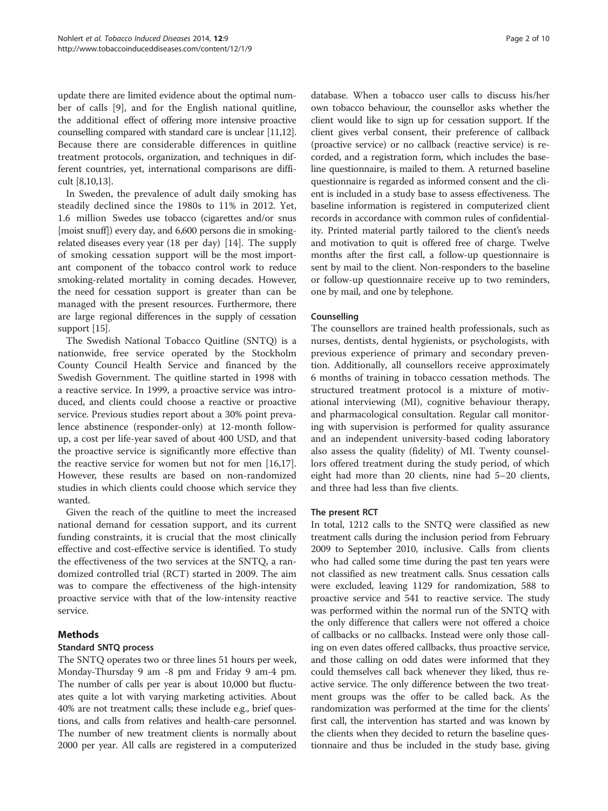update there are limited evidence about the optimal number of calls [[9\]](#page-8-0), and for the English national quitline, the additional effect of offering more intensive proactive counselling compared with standard care is unclear [[11](#page-8-0)[,12](#page-9-0)]. Because there are considerable differences in quitline treatment protocols, organization, and techniques in different countries, yet, international comparisons are difficult [\[8,10](#page-8-0)[,13\]](#page-9-0).

In Sweden, the prevalence of adult daily smoking has steadily declined since the 1980s to 11% in 2012. Yet, 1.6 million Swedes use tobacco (cigarettes and/or snus [moist snuff]) every day, and 6,600 persons die in smokingrelated diseases every year (18 per day) [\[14](#page-9-0)]. The supply of smoking cessation support will be the most important component of the tobacco control work to reduce smoking-related mortality in coming decades. However, the need for cessation support is greater than can be managed with the present resources. Furthermore, there are large regional differences in the supply of cessation support [\[15\]](#page-9-0).

The Swedish National Tobacco Quitline (SNTQ) is a nationwide, free service operated by the Stockholm County Council Health Service and financed by the Swedish Government. The quitline started in 1998 with a reactive service. In 1999, a proactive service was introduced, and clients could choose a reactive or proactive service. Previous studies report about a 30% point prevalence abstinence (responder-only) at 12-month followup, a cost per life-year saved of about 400 USD, and that the proactive service is significantly more effective than the reactive service for women but not for men [\[16,17](#page-9-0)]. However, these results are based on non-randomized studies in which clients could choose which service they wanted.

Given the reach of the quitline to meet the increased national demand for cessation support, and its current funding constraints, it is crucial that the most clinically effective and cost-effective service is identified. To study the effectiveness of the two services at the SNTQ, a randomized controlled trial (RCT) started in 2009. The aim was to compare the effectiveness of the high-intensity proactive service with that of the low-intensity reactive service.

## Methods

## Standard SNTQ process

The SNTQ operates two or three lines 51 hours per week, Monday-Thursday 9 am -8 pm and Friday 9 am-4 pm. The number of calls per year is about 10,000 but fluctuates quite a lot with varying marketing activities. About 40% are not treatment calls; these include e.g., brief questions, and calls from relatives and health-care personnel. The number of new treatment clients is normally about 2000 per year. All calls are registered in a computerized

database. When a tobacco user calls to discuss his/her own tobacco behaviour, the counsellor asks whether the client would like to sign up for cessation support. If the client gives verbal consent, their preference of callback (proactive service) or no callback (reactive service) is recorded, and a registration form, which includes the baseline questionnaire, is mailed to them. A returned baseline questionnaire is regarded as informed consent and the client is included in a study base to assess effectiveness. The baseline information is registered in computerized client records in accordance with common rules of confidentiality. Printed material partly tailored to the client's needs and motivation to quit is offered free of charge. Twelve months after the first call, a follow-up questionnaire is sent by mail to the client. Non-responders to the baseline or follow-up questionnaire receive up to two reminders, one by mail, and one by telephone.

## Counselling

The counsellors are trained health professionals, such as nurses, dentists, dental hygienists, or psychologists, with previous experience of primary and secondary prevention. Additionally, all counsellors receive approximately 6 months of training in tobacco cessation methods. The structured treatment protocol is a mixture of motivational interviewing (MI), cognitive behaviour therapy, and pharmacological consultation. Regular call monitoring with supervision is performed for quality assurance and an independent university-based coding laboratory also assess the quality (fidelity) of MI. Twenty counsellors offered treatment during the study period, of which eight had more than 20 clients, nine had 5–20 clients, and three had less than five clients.

## The present RCT

In total, 1212 calls to the SNTQ were classified as new treatment calls during the inclusion period from February 2009 to September 2010, inclusive. Calls from clients who had called some time during the past ten years were not classified as new treatment calls. Snus cessation calls were excluded, leaving 1129 for randomization, 588 to proactive service and 541 to reactive service. The study was performed within the normal run of the SNTQ with the only difference that callers were not offered a choice of callbacks or no callbacks. Instead were only those calling on even dates offered callbacks, thus proactive service, and those calling on odd dates were informed that they could themselves call back whenever they liked, thus reactive service. The only difference between the two treatment groups was the offer to be called back. As the randomization was performed at the time for the clients' first call, the intervention has started and was known by the clients when they decided to return the baseline questionnaire and thus be included in the study base, giving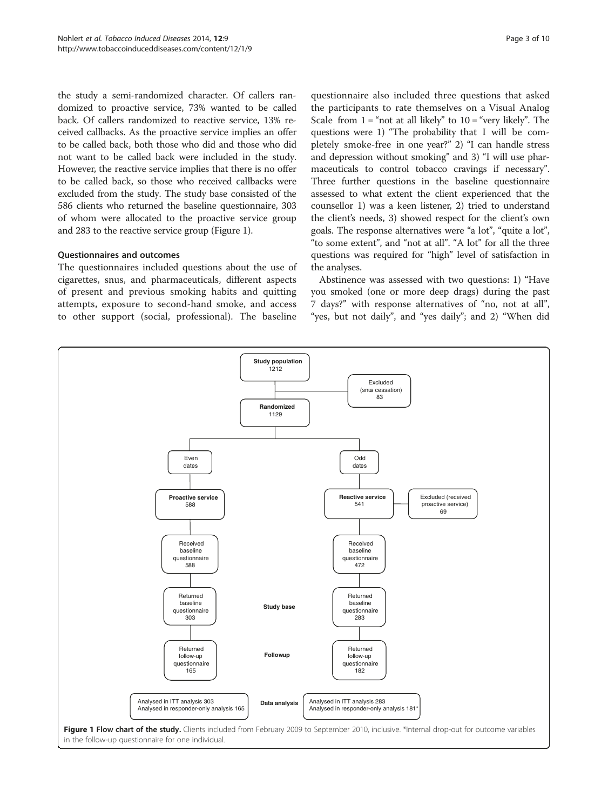<span id="page-2-0"></span>the study a semi-randomized character. Of callers randomized to proactive service, 73% wanted to be called back. Of callers randomized to reactive service, 13% received callbacks. As the proactive service implies an offer to be called back, both those who did and those who did not want to be called back were included in the study. However, the reactive service implies that there is no offer to be called back, so those who received callbacks were excluded from the study. The study base consisted of the 586 clients who returned the baseline questionnaire, 303 of whom were allocated to the proactive service group and 283 to the reactive service group (Figure 1).

#### Questionnaires and outcomes

The questionnaires included questions about the use of cigarettes, snus, and pharmaceuticals, different aspects of present and previous smoking habits and quitting attempts, exposure to second-hand smoke, and access to other support (social, professional). The baseline questionnaire also included three questions that asked the participants to rate themselves on a Visual Analog Scale from  $1 =$  "not at all likely" to  $10 =$  "very likely". The questions were 1) "The probability that I will be completely smoke-free in one year?" 2) "I can handle stress and depression without smoking" and 3) "I will use pharmaceuticals to control tobacco cravings if necessary". Three further questions in the baseline questionnaire assessed to what extent the client experienced that the counsellor 1) was a keen listener, 2) tried to understand the client's needs, 3) showed respect for the client's own goals. The response alternatives were "a lot", "quite a lot", "to some extent", and "not at all". "A lot" for all the three questions was required for "high" level of satisfaction in the analyses.

Abstinence was assessed with two questions: 1) "Have you smoked (one or more deep drags) during the past 7 days?" with response alternatives of "no, not at all", "yes, but not daily", and "yes daily"; and 2) "When did

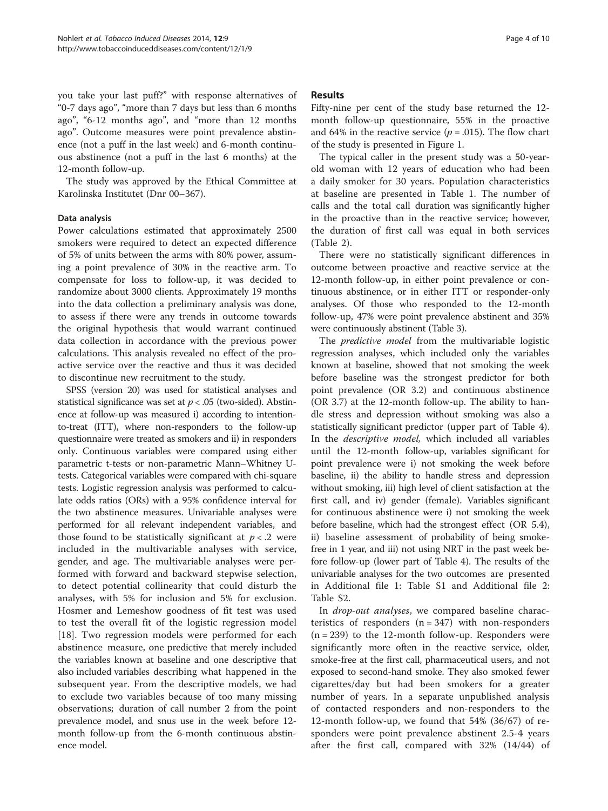you take your last puff?" with response alternatives of "0-7 days ago", "more than 7 days but less than 6 months ago", "6-12 months ago", and "more than 12 months ago". Outcome measures were point prevalence abstinence (not a puff in the last week) and 6-month continuous abstinence (not a puff in the last 6 months) at the 12-month follow-up.

The study was approved by the Ethical Committee at Karolinska Institutet (Dnr 00–367).

#### Data analysis

Power calculations estimated that approximately 2500 smokers were required to detect an expected difference of 5% of units between the arms with 80% power, assuming a point prevalence of 30% in the reactive arm. To compensate for loss to follow-up, it was decided to randomize about 3000 clients. Approximately 19 months into the data collection a preliminary analysis was done, to assess if there were any trends in outcome towards the original hypothesis that would warrant continued data collection in accordance with the previous power calculations. This analysis revealed no effect of the proactive service over the reactive and thus it was decided to discontinue new recruitment to the study.

SPSS (version 20) was used for statistical analyses and statistical significance was set at  $p < .05$  (two-sided). Abstinence at follow-up was measured i) according to intentionto-treat (ITT), where non-responders to the follow-up questionnaire were treated as smokers and ii) in responders only. Continuous variables were compared using either parametric t-tests or non-parametric Mann–Whitney Utests. Categorical variables were compared with chi-square tests. Logistic regression analysis was performed to calculate odds ratios (ORs) with a 95% confidence interval for the two abstinence measures. Univariable analyses were performed for all relevant independent variables, and those found to be statistically significant at  $p < 0.2$  were included in the multivariable analyses with service, gender, and age. The multivariable analyses were performed with forward and backward stepwise selection, to detect potential collinearity that could disturb the analyses, with 5% for inclusion and 5% for exclusion. Hosmer and Lemeshow goodness of fit test was used to test the overall fit of the logistic regression model [[18\]](#page-9-0). Two regression models were performed for each abstinence measure, one predictive that merely included the variables known at baseline and one descriptive that also included variables describing what happened in the subsequent year. From the descriptive models, we had to exclude two variables because of too many missing observations; duration of call number 2 from the point prevalence model, and snus use in the week before 12 month follow-up from the 6-month continuous abstinence model.

#### Results

Fifty-nine per cent of the study base returned the 12 month follow-up questionnaire, 55% in the proactive and 64% in the reactive service ( $p = .015$ ). The flow chart of the study is presented in Figure [1.](#page-2-0)

The typical caller in the present study was a 50-yearold woman with 12 years of education who had been a daily smoker for 30 years. Population characteristics at baseline are presented in Table [1](#page-4-0). The number of calls and the total call duration was significantly higher in the proactive than in the reactive service; however, the duration of first call was equal in both services (Table [2\)](#page-5-0).

There were no statistically significant differences in outcome between proactive and reactive service at the 12-month follow-up, in either point prevalence or continuous abstinence, or in either ITT or responder-only analyses. Of those who responded to the 12-month follow-up, 47% were point prevalence abstinent and 35% were continuously abstinent (Table [3](#page-5-0)).

The *predictive model* from the multivariable logistic regression analyses, which included only the variables known at baseline, showed that not smoking the week before baseline was the strongest predictor for both point prevalence (OR 3.2) and continuous abstinence (OR 3.7) at the 12-month follow-up. The ability to handle stress and depression without smoking was also a statistically significant predictor (upper part of Table [4](#page-6-0)). In the *descriptive model*, which included all variables until the 12-month follow-up, variables significant for point prevalence were i) not smoking the week before baseline, ii) the ability to handle stress and depression without smoking, iii) high level of client satisfaction at the first call, and iv) gender (female). Variables significant for continuous abstinence were i) not smoking the week before baseline, which had the strongest effect (OR 5.4), ii) baseline assessment of probability of being smokefree in 1 year, and iii) not using NRT in the past week before follow-up (lower part of Table [4](#page-6-0)). The results of the univariable analyses for the two outcomes are presented in Additional file [1](#page-8-0): Table S1 and Additional file [2](#page-8-0): Table S2.

In drop-out analyses, we compared baseline characteristics of responders  $(n = 347)$  with non-responders  $(n = 239)$  to the 12-month follow-up. Responders were significantly more often in the reactive service, older, smoke-free at the first call, pharmaceutical users, and not exposed to second-hand smoke. They also smoked fewer cigarettes/day but had been smokers for a greater number of years. In a separate unpublished analysis of contacted responders and non-responders to the 12-month follow-up, we found that 54% (36/67) of responders were point prevalence abstinent 2.5-4 years after the first call, compared with 32% (14/44) of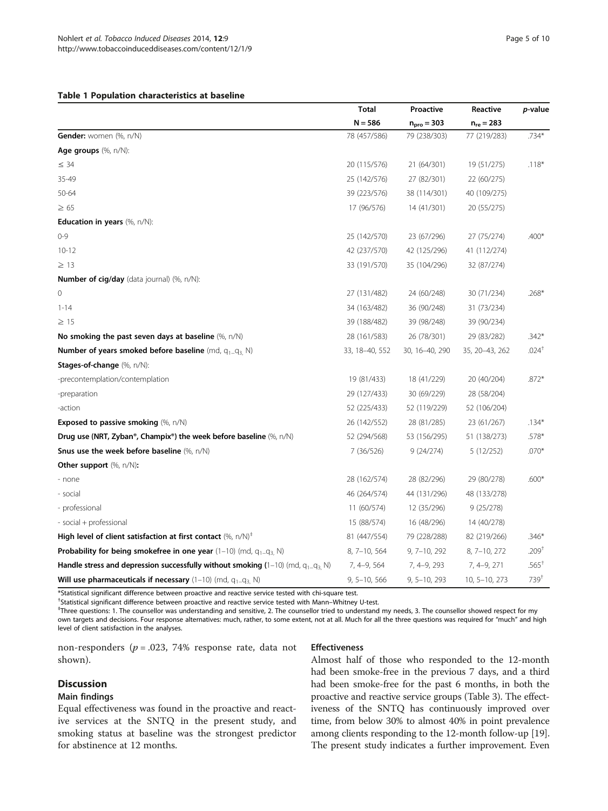<span id="page-4-0"></span>Table 1 Population characteristics at baseline

|                                                                                                 | Total            | Proactive        | Reactive       | p-value           |
|-------------------------------------------------------------------------------------------------|------------------|------------------|----------------|-------------------|
|                                                                                                 | $N = 586$        | $npro = 303$     | $n_{re} = 283$ |                   |
| Gender: women (%, n/N)                                                                          | 78 (457/586)     | 79 (238/303)     | 77 (219/283)   | $.734*$           |
| Age groups (%, n/N):                                                                            |                  |                  |                |                   |
| $\leq$ 34                                                                                       | 20 (115/576)     | 21 (64/301)      | 19 (51/275)    | $.118*$           |
| 35-49                                                                                           | 25 (142/576)     | 27 (82/301)      | 22 (60/275)    |                   |
| 50-64                                                                                           | 39 (223/576)     | 38 (114/301)     | 40 (109/275)   |                   |
| $\geq 65$                                                                                       | 17 (96/576)      | 14 (41/301)      | 20 (55/275)    |                   |
| <b>Education in years</b> $(\%$ , $n/N)$ :                                                      |                  |                  |                |                   |
| $0 - 9$                                                                                         | 25 (142/570)     | 23 (67/296)      | 27 (75/274)    | .400*             |
| $10 - 12$                                                                                       | 42 (237/570)     | 42 (125/296)     | 41 (112/274)   |                   |
| $\geq$ 13                                                                                       | 33 (191/570)     | 35 (104/296)     | 32 (87/274)    |                   |
| <b>Number of cig/day</b> (data journal) (%, n/N):                                               |                  |                  |                |                   |
| 0                                                                                               | 27 (131/482)     | 24 (60/248)      | 30 (71/234)    | $.268*$           |
| $1 - 14$                                                                                        | 34 (163/482)     | 36 (90/248)      | 31 (73/234)    |                   |
| $\geq$ 15                                                                                       | 39 (188/482)     | 39 (98/248)      | 39 (90/234)    |                   |
| No smoking the past seven days at baseline $(\%$ , n/N)                                         | 28 (161/583)     | 26 (78/301)      | 29 (83/282)    | $.342*$           |
| <b>Number of years smoked before baseline</b> (md, $q_1$ <sub>-</sub> $q_3$ , N)                | 33, 18-40, 552   | 30, 16-40, 290   | 35, 20-43, 262 | $.024^{\dagger}$  |
| Stages-of-change (%, n/N):                                                                      |                  |                  |                |                   |
| -precontemplation/contemplation                                                                 | 19 (81/433)      | 18 (41/229)      | 20 (40/204)    | $.872*$           |
| -preparation                                                                                    | 29 (127/433)     | 30 (69/229)      | 28 (58/204)    |                   |
| -action                                                                                         | 52 (225/433)     | 52 (119/229)     | 52 (106/204)   |                   |
| <b>Exposed to passive smoking</b> $(\%$ , $n/N)$                                                | 26 (142/552)     | 28 (81/285)      | 23 (61/267)    | $.134*$           |
| <b>Drug use (NRT, Zyban<sup>®</sup>, Champix<sup>®</sup>) the week before baseline (%, n/N)</b> | 52 (294/568)     | 53 (156/295)     | 51 (138/273)   | .578*             |
| Snus use the week before baseline (%, n/N)                                                      | 7 (36/526)       | 9(24/274)        | 5(12/252)      | $.070*$           |
| Other support (%, n/N):                                                                         |                  |                  |                |                   |
| - none                                                                                          | 28 (162/574)     | 28 (82/296)      | 29 (80/278)    | $.600*$           |
| - social                                                                                        | 46 (264/574)     | 44 (131/296)     | 48 (133/278)   |                   |
| - professional                                                                                  | 11 (60/574)      | 12 (35/296)      | 9(25/278)      |                   |
| - social + professional                                                                         | 15 (88/574)      | 16 (48/296)      | 14 (40/278)    |                   |
| High level of client satisfaction at first contact $(\%$ , $n/N)^{\ddagger}$                    | 81 (447/554)     | 79 (228/288)     | 82 (219/266)   | $.346*$           |
| <b>Probability for being smokefree in one year</b> (1-10) (md, $q_1$ - $q_3$ , N)               | 8, 7-10, 564     | 9, 7-10, 292     | 8, 7-10, 272   | .209 <sup>†</sup> |
| Handle stress and depression successfully without smoking (1-10) (md, $q_1$ - $q_3$ , N)        | 7, 4-9, 564      | 7, 4-9, 293      | 7, 4-9, 271    | $.565^{\dagger}$  |
| Will use pharmaceuticals if necessary $(1-10)$ (md, $q_1 = q_3$ , N)                            | $9, 5 - 10, 566$ | $9, 5 - 10, 293$ | 10, 5-10, 273  | $739^{+}$         |

\*Statistical significant difference between proactive and reactive service tested with chi-square test.

† Statistical significant difference between proactive and reactive service tested with Mann–Whitney U-test. ₹<br>‡Three questions: 1. The counceller was understanding and consitive 2. The counceller tried to understanc

Three questions: 1. The counsellor was understanding and sensitive, 2. The counsellor tried to understand my needs, 3. The counsellor showed respect for my own targets and decisions. Four response alternatives: much, rather, to some extent, not at all. Much for all the three questions was required for "much" and high level of client satisfaction in the analyses.

non-responders ( $p = .023$ , 74% response rate, data not shown).

## Discussion

### Main findings

Equal effectiveness was found in the proactive and reactive services at the SNTQ in the present study, and smoking status at baseline was the strongest predictor for abstinence at 12 months.

#### Effectiveness

Almost half of those who responded to the 12-month had been smoke-free in the previous 7 days, and a third had been smoke-free for the past 6 months, in both the proactive and reactive service groups (Table [3](#page-5-0)). The effectiveness of the SNTQ has continuously improved over time, from below 30% to almost 40% in point prevalence among clients responding to the 12-month follow-up [[19](#page-9-0)]. The present study indicates a further improvement. Even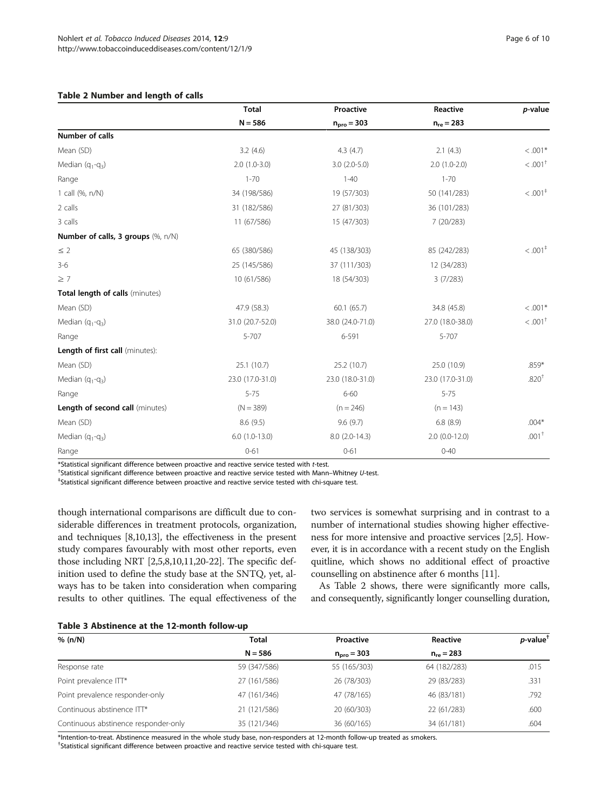<span id="page-5-0"></span>

|                                          | <b>Total</b>     | Proactive        | Reactive         | $p$ -value                           |
|------------------------------------------|------------------|------------------|------------------|--------------------------------------|
|                                          | $N = 586$        | $npro = 303$     | $n_{re} = 283$   |                                      |
| <b>Number of calls</b>                   |                  |                  |                  |                                      |
| Mean (SD)                                | 3.2(4.6)         | 4.3(4.7)         | 2.1(4.3)         | $< .001*$                            |
| Median $(q_1-q_3)$                       | $2.0(1.0-3.0)$   | $3.0(2.0-5.0)$   | $2.0(1.0-2.0)$   | $< .001$ <sup>+</sup>                |
| Range                                    | $1 - 70$         | $1 - 40$         | $1 - 70$         |                                      |
| 1 call (%, n/N)                          | 34 (198/586)     | 19 (57/303)      | 50 (141/283)     | $< .001$ <sup><math>\pm</math></sup> |
| 2 calls                                  | 31 (182/586)     | 27 (81/303)      | 36 (101/283)     |                                      |
| 3 calls                                  | 11 (67/586)      | 15 (47/303)      | 7(20/283)        |                                      |
| Number of calls, 3 groups (%, n/N)       |                  |                  |                  |                                      |
| $\leq$ 2                                 | 65 (380/586)     | 45 (138/303)     | 85 (242/283)     | < .001 <sup>‡</sup>                  |
| $3-6$                                    | 25 (145/586)     | 37 (111/303)     | 12 (34/283)      |                                      |
| $\geq 7$                                 | 10 (61/586)      | 18 (54/303)      | 3(7/283)         |                                      |
| Total length of calls (minutes)          |                  |                  |                  |                                      |
| Mean (SD)                                | 47.9 (58.3)      | 60.1(65.7)       | 34.8 (45.8)      | $< .001*$                            |
| Median $(q_1-q_3)$                       | 31.0 (20.7-52.0) | 38.0 (24.0-71.0) | 27.0 (18.0-38.0) | $< .001$ <sup>+</sup>                |
| Range                                    | 5-707            | 6-591            | 5-707            |                                      |
| Length of first call (minutes):          |                  |                  |                  |                                      |
| Mean (SD)                                | 25.1 (10.7)      | 25.2 (10.7)      | 25.0 (10.9)      | .859*                                |
| Median $(q_1-q_3)$                       | 23.0 (17.0-31.0) | 23.0 (18.0-31.0) | 23.0 (17.0-31.0) | .820 <sup>†</sup>                    |
| Range                                    | $5 - 75$         | $6 - 60$         | $5 - 75$         |                                      |
| Length of second call (minutes)          | $(N = 389)$      | $(n = 246)$      | $(n = 143)$      |                                      |
| Mean (SD)                                | 8.6(9.5)         | 9.6(9.7)         | 6.8(8.9)         | $.004*$                              |
| Median (q <sub>1</sub> -q <sub>3</sub> ) | $6.0(1.0-13.0)$  | $8.0(2.0-14.3)$  | $2.0$ (0.0-12.0) | $.001+$                              |
| Range                                    | $0 - 61$         | $0 - 61$         | $0 - 40$         |                                      |

\*Statistical significant difference between proactive and reactive service tested with <sup>t</sup>-test. †

<sup>†</sup>Statistical significant difference between proactive and reactive service tested with Mann–Whitney U-test.

Statistical significant difference between proactive and reactive service tested with chi-square test.

though international comparisons are difficult due to considerable differences in treatment protocols, organization, and techniques [\[8,10](#page-8-0)[,13\]](#page-9-0), the effectiveness in the present study compares favourably with most other reports, even those including NRT [[2,5,8,10,11,](#page-8-0)[20](#page-9-0)-[22](#page-9-0)]. The specific definition used to define the study base at the SNTQ, yet, always has to be taken into consideration when comparing results to other quitlines. The equal effectiveness of the

two services is somewhat surprising and in contrast to a number of international studies showing higher effectiveness for more intensive and proactive services [[2,5\]](#page-8-0). However, it is in accordance with a recent study on the English quitline, which shows no additional effect of proactive counselling on abstinence after 6 months [[11](#page-8-0)].

As Table 2 shows, there were significantly more calls, and consequently, significantly longer counselling duration,

|  | Table 3 Abstinence at the 12-month follow-up |  |  |  |
|--|----------------------------------------------|--|--|--|
|--|----------------------------------------------|--|--|--|

| % (n/N)                              | Total        | Proactive           | Reactive           | $p$ -value <sup>†</sup> |
|--------------------------------------|--------------|---------------------|--------------------|-------------------------|
|                                      | $N = 586$    | $n_{\rm pro} = 303$ | $n_{\rm re} = 283$ |                         |
| Response rate                        | 59 (347/586) | 55 (165/303)        | 64 (182/283)       | .015                    |
| Point prevalence ITT*                | 27 (161/586) | 26 (78/303)         | 29 (83/283)        | .331                    |
| Point prevalence responder-only      | 47 (161/346) | 47 (78/165)         | 46 (83/181)        | .792                    |
| Continuous abstinence ITT*           | 21 (121/586) | 20 (60/303)         | 22 (61/283)        | .600                    |
| Continuous abstinence responder-only | 35 (121/346) | 36 (60/165)         | 34 (61/181)        | .604                    |

\*Intention-to-treat. Abstinence measured in the whole study base, non-responders at 12-month follow-up treated as smokers.

† Statistical significant difference between proactive and reactive service tested with chi-square test.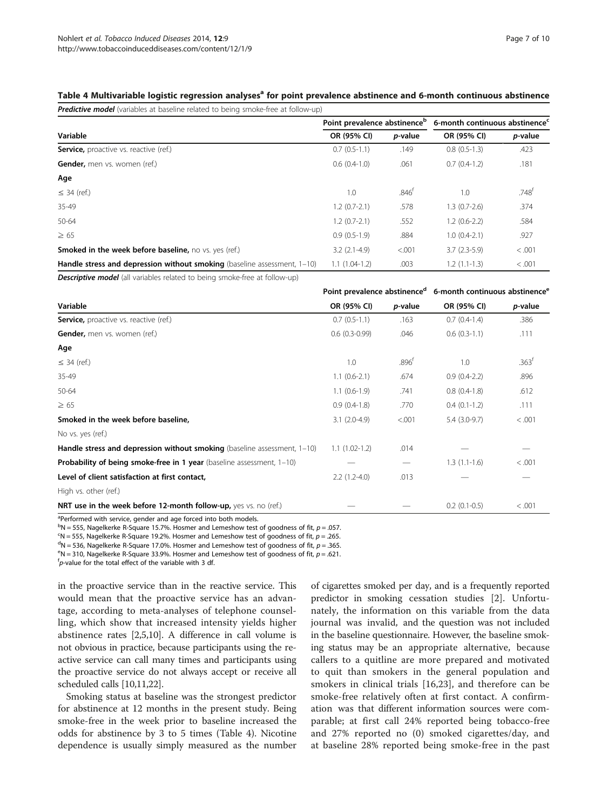#### <span id="page-6-0"></span>Table 4 Multivariable logistic regression analyses<sup>a</sup> for point prevalence abstinence and 6-month continuous abstinence

Predictive model (variables at baseline related to being smoke-free at follow-up)

|                                                                          | Point prevalence abstinence <sup>p</sup> |                  | 6-month continuous abstinence <sup>c</sup> |                     |
|--------------------------------------------------------------------------|------------------------------------------|------------------|--------------------------------------------|---------------------|
| Variable                                                                 | OR (95% CI)                              | <i>p</i> -value  | OR (95% CI)                                | <i>p</i> -value     |
| Service, proactive vs. reactive (ref.)                                   | $0.7(0.5-1.1)$                           | .149             | $0.8(0.5-1.3)$                             | .423                |
| Gender, men vs. women (ref.)                                             | $0.6(0.4-1.0)$                           | .061             | $0.7(0.4-1.2)$                             | .181                |
| Age                                                                      |                                          |                  |                                            |                     |
| $\leq$ 34 (ref.)                                                         | 1.0                                      | $.846^{\dagger}$ | 1.0                                        | $.748$ <sup>t</sup> |
| 35-49                                                                    | $1.2(0.7-2.1)$                           | .578             | $1.3(0.7-2.6)$                             | .374                |
| 50-64                                                                    | $1.2(0.7-2.1)$                           | .552             | $1.2(0.6-2.2)$                             | .584                |
| $\geq 65$                                                                | $0.9(0.5-1.9)$                           | .884             | $1.0(0.4-2.1)$                             | .927                |
| <b>Smoked in the week before baseline, no vs. yes (ref.)</b>             | $3.2(2.1-4.9)$                           | < 0.001          | $3.7(2.3-5.9)$                             | < 0.001             |
| Handle stress and depression without smoking (baseline assessment, 1-10) | $1.1(1.04-1.2)$                          | .003             | $1.2(1.1-1.3)$                             | < 0.001             |

Descriptive model (all variables related to being smoke-free at follow-up)

|                                                                              |                 |                   | Point prevalence abstinence <sup>d</sup> 6-month continuous abstinence <sup>e</sup> |                   |
|------------------------------------------------------------------------------|-----------------|-------------------|-------------------------------------------------------------------------------------|-------------------|
| Variable                                                                     | OR (95% CI)     | <i>p</i> -value   | OR (95% CI)                                                                         | <i>p</i> -value   |
| <b>Service,</b> proactive vs. reactive (ref.)                                | $0.7(0.5-1.1)$  | .163              | $0.7(0.4-1.4)$                                                                      | .386              |
| <b>Gender,</b> men vs. women (ref.)                                          | $0.6(0.3-0.99)$ | .046              | $0.6(0.3-1.1)$                                                                      | .111              |
| Age                                                                          |                 |                   |                                                                                     |                   |
| $\leq$ 34 (ref.)                                                             | 1.0             | .896 <sup>†</sup> | 1.0                                                                                 | .363 <sup>†</sup> |
| 35-49                                                                        | $1.1(0.6-2.1)$  | .674              | $0.9(0.4-2.2)$                                                                      | .896              |
| 50-64                                                                        | $1.1(0.6-1.9)$  | .741              | $0.8(0.4-1.8)$                                                                      | .612              |
| $\geq 65$                                                                    | $0.9(0.4-1.8)$  | .770              | $0.4(0.1-1.2)$                                                                      | .111              |
| Smoked in the week before baseline,                                          | $3.1(2.0-4.9)$  | < .001            | $5.4(3.0-9.7)$                                                                      | < 0.001           |
| No vs. yes (ref.)                                                            |                 |                   |                                                                                     |                   |
| Handle stress and depression without smoking (baseline assessment, 1-10)     | $1.1(1.02-1.2)$ | .014              |                                                                                     |                   |
| <b>Probability of being smoke-free in 1 year</b> (baseline assessment, 1–10) |                 |                   | $1.3(1.1-1.6)$                                                                      | < 0.001           |
| Level of client satisfaction at first contact,                               | $2.2(1.2-4.0)$  | .013              |                                                                                     |                   |
| High vs. other (ref.)                                                        |                 |                   |                                                                                     |                   |
| NRT use in the week before 12-month follow-up, yes vs. no (ref.)             |                 |                   | $0.2$ (0.1-0.5)                                                                     | < .001            |

<sup>a</sup>Performed with service, gender and age forced into both models.

 $h = 555$ , Nagelkerke R-Square 15.7%. Hosmer and Lemeshow test of goodness of fit,  $p = .057$ .<br>SN = 555. Nagelkerke R-Square 19.2%. Hosmer and Lemeshow test of goodness of fit n = 265.

 $N = 555$ , Nagelkerke R-Square 19.2%. Hosmer and Lemeshow test of goodness of fit,  $p = 0.265$ .

 $dN = 536$ , Nagelkerke R-Square 17.0%. Hosmer and Lemeshow test of goodness of fit,  $p = 0.365$ .

 $e^N$ N = 310, Nagelkerke R-Square 33.9%. Hosmer and Lemeshow test of goodness of fit,  $p = .621$ .

 $p$ -value for the total effect of the variable with 3 df.

in the proactive service than in the reactive service. This would mean that the proactive service has an advantage, according to meta-analyses of telephone counselling, which show that increased intensity yields higher abstinence rates [[2,5,10](#page-8-0)]. A difference in call volume is not obvious in practice, because participants using the reactive service can call many times and participants using the proactive service do not always accept or receive all scheduled calls [\[10,11](#page-8-0)[,22](#page-9-0)].

Smoking status at baseline was the strongest predictor for abstinence at 12 months in the present study. Being smoke-free in the week prior to baseline increased the odds for abstinence by 3 to 5 times (Table 4). Nicotine dependence is usually simply measured as the number

of cigarettes smoked per day, and is a frequently reported predictor in smoking cessation studies [\[2](#page-8-0)]. Unfortunately, the information on this variable from the data journal was invalid, and the question was not included in the baseline questionnaire. However, the baseline smoking status may be an appropriate alternative, because callers to a quitline are more prepared and motivated to quit than smokers in the general population and smokers in clinical trials [\[16,23](#page-9-0)], and therefore can be smoke-free relatively often at first contact. A confirmation was that different information sources were comparable; at first call 24% reported being tobacco-free and 27% reported no (0) smoked cigarettes/day, and at baseline 28% reported being smoke-free in the past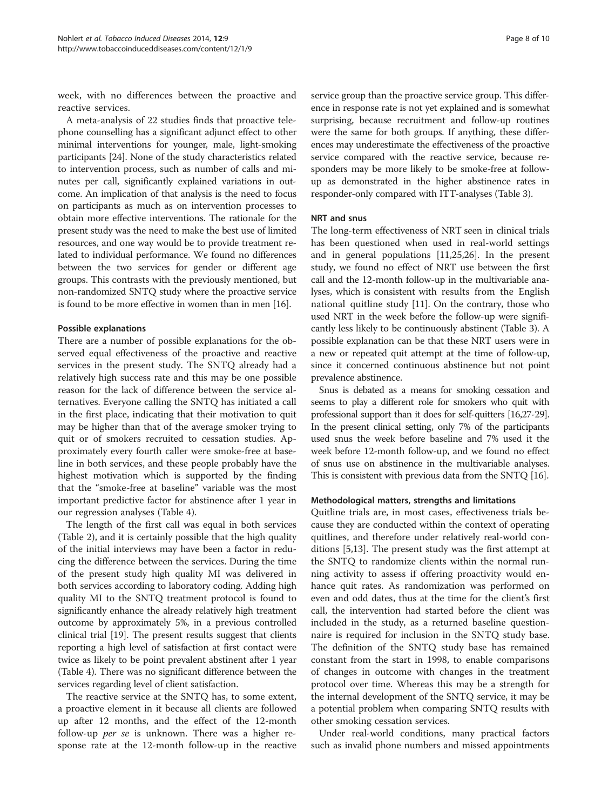week, with no differences between the proactive and reactive services.

A meta-analysis of 22 studies finds that proactive telephone counselling has a significant adjunct effect to other minimal interventions for younger, male, light-smoking participants [[24](#page-9-0)]. None of the study characteristics related to intervention process, such as number of calls and minutes per call, significantly explained variations in outcome. An implication of that analysis is the need to focus on participants as much as on intervention processes to obtain more effective interventions. The rationale for the present study was the need to make the best use of limited resources, and one way would be to provide treatment related to individual performance. We found no differences between the two services for gender or different age groups. This contrasts with the previously mentioned, but non-randomized SNTQ study where the proactive service is found to be more effective in women than in men [[16](#page-9-0)].

#### Possible explanations

There are a number of possible explanations for the observed equal effectiveness of the proactive and reactive services in the present study. The SNTQ already had a relatively high success rate and this may be one possible reason for the lack of difference between the service alternatives. Everyone calling the SNTQ has initiated a call in the first place, indicating that their motivation to quit may be higher than that of the average smoker trying to quit or of smokers recruited to cessation studies. Approximately every fourth caller were smoke-free at baseline in both services, and these people probably have the highest motivation which is supported by the finding that the "smoke-free at baseline" variable was the most important predictive factor for abstinence after 1 year in our regression analyses (Table [4](#page-6-0)).

The length of the first call was equal in both services (Table [2\)](#page-5-0), and it is certainly possible that the high quality of the initial interviews may have been a factor in reducing the difference between the services. During the time of the present study high quality MI was delivered in both services according to laboratory coding. Adding high quality MI to the SNTQ treatment protocol is found to significantly enhance the already relatively high treatment outcome by approximately 5%, in a previous controlled clinical trial [\[19\]](#page-9-0). The present results suggest that clients reporting a high level of satisfaction at first contact were twice as likely to be point prevalent abstinent after 1 year (Table [4](#page-6-0)). There was no significant difference between the services regarding level of client satisfaction.

The reactive service at the SNTQ has, to some extent, a proactive element in it because all clients are followed up after 12 months, and the effect of the 12-month follow-up *per se* is unknown. There was a higher response rate at the 12-month follow-up in the reactive

service group than the proactive service group. This difference in response rate is not yet explained and is somewhat surprising, because recruitment and follow-up routines were the same for both groups. If anything, these differences may underestimate the effectiveness of the proactive service compared with the reactive service, because responders may be more likely to be smoke-free at followup as demonstrated in the higher abstinence rates in responder-only compared with ITT-analyses (Table [3](#page-5-0)).

#### NRT and snus

The long-term effectiveness of NRT seen in clinical trials has been questioned when used in real-world settings and in general populations [[11,](#page-8-0)[25,26\]](#page-9-0). In the present study, we found no effect of NRT use between the first call and the 12-month follow-up in the multivariable analyses, which is consistent with results from the English national quitline study [[11](#page-8-0)]. On the contrary, those who used NRT in the week before the follow-up were significantly less likely to be continuously abstinent (Table [3](#page-5-0)). A possible explanation can be that these NRT users were in a new or repeated quit attempt at the time of follow-up, since it concerned continuous abstinence but not point prevalence abstinence.

Snus is debated as a means for smoking cessation and seems to play a different role for smokers who quit with professional support than it does for self-quitters [\[16,27-29\]](#page-9-0). In the present clinical setting, only 7% of the participants used snus the week before baseline and 7% used it the week before 12-month follow-up, and we found no effect of snus use on abstinence in the multivariable analyses. This is consistent with previous data from the SNTQ [[16\]](#page-9-0).

#### Methodological matters, strengths and limitations

Quitline trials are, in most cases, effectiveness trials because they are conducted within the context of operating quitlines, and therefore under relatively real-world conditions [[5,](#page-8-0)[13\]](#page-9-0). The present study was the first attempt at the SNTQ to randomize clients within the normal running activity to assess if offering proactivity would enhance quit rates. As randomization was performed on even and odd dates, thus at the time for the client's first call, the intervention had started before the client was included in the study, as a returned baseline questionnaire is required for inclusion in the SNTQ study base. The definition of the SNTQ study base has remained constant from the start in 1998, to enable comparisons of changes in outcome with changes in the treatment protocol over time. Whereas this may be a strength for the internal development of the SNTQ service, it may be a potential problem when comparing SNTQ results with other smoking cessation services.

Under real-world conditions, many practical factors such as invalid phone numbers and missed appointments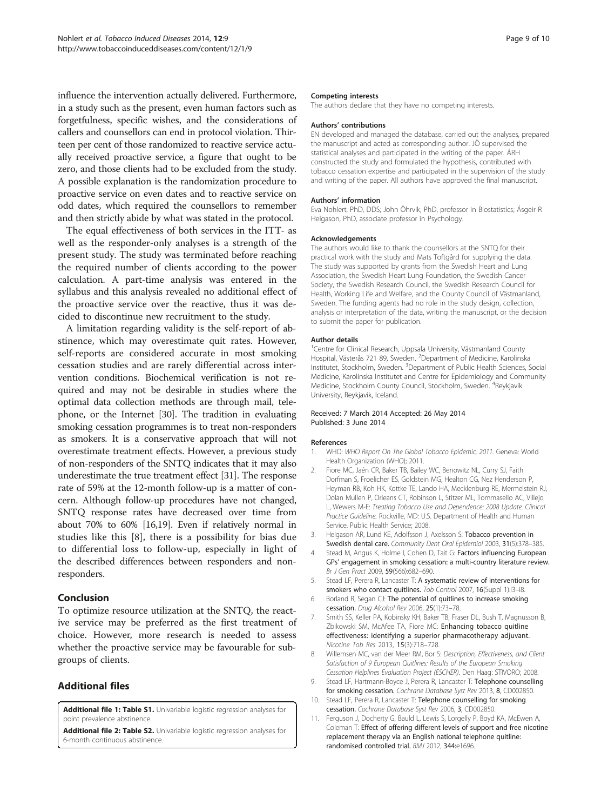<span id="page-8-0"></span>influence the intervention actually delivered. Furthermore, in a study such as the present, even human factors such as forgetfulness, specific wishes, and the considerations of callers and counsellors can end in protocol violation. Thirteen per cent of those randomized to reactive service actually received proactive service, a figure that ought to be zero, and those clients had to be excluded from the study. A possible explanation is the randomization procedure to proactive service on even dates and to reactive service on odd dates, which required the counsellors to remember and then strictly abide by what was stated in the protocol.

The equal effectiveness of both services in the ITT- as well as the responder-only analyses is a strength of the present study. The study was terminated before reaching the required number of clients according to the power calculation. A part-time analysis was entered in the syllabus and this analysis revealed no additional effect of the proactive service over the reactive, thus it was decided to discontinue new recruitment to the study.

A limitation regarding validity is the self-report of abstinence, which may overestimate quit rates. However, self-reports are considered accurate in most smoking cessation studies and are rarely differential across intervention conditions. Biochemical verification is not required and may not be desirable in studies where the optimal data collection methods are through mail, telephone, or the Internet [[30](#page-9-0)]. The tradition in evaluating smoking cessation programmes is to treat non-responders as smokers. It is a conservative approach that will not overestimate treatment effects. However, a previous study of non-responders of the SNTQ indicates that it may also underestimate the true treatment effect [\[31](#page-9-0)]. The response rate of 59% at the 12-month follow-up is a matter of concern. Although follow-up procedures have not changed, SNTQ response rates have decreased over time from about 70% to 60% [[16,19](#page-9-0)]. Even if relatively normal in studies like this [8], there is a possibility for bias due to differential loss to follow-up, especially in light of the described differences between responders and nonresponders.

## Conclusion

To optimize resource utilization at the SNTQ, the reactive service may be preferred as the first treatment of choice. However, more research is needed to assess whether the proactive service may be favourable for subgroups of clients.

## Additional files

[Additional file 1: Table S1.](http://www.biomedcentral.com/content/supplementary/1617-9625-12-9-S1.docx) Univariable logistic regression analyses for point prevalence abstinence.

[Additional file 2: Table S2.](http://www.biomedcentral.com/content/supplementary/1617-9625-12-9-S2.docx) Univariable logistic regression analyses for 6-month continuous abstinence.

#### Competing interests

The authors declare that they have no competing interests.

#### Authors' contributions

EN developed and managed the database, carried out the analyses, prepared the manuscript and acted as corresponding author. JÖ supervised the statistical analyses and participated in the writing of the paper. ÁRH constructed the study and formulated the hypothesis, contributed with tobacco cessation expertise and participated in the supervision of the study and writing of the paper. All authors have approved the final manuscript.

#### Authors' information

Eva Nohlert, PhD, DDS; John Öhrvik, PhD, professor in Biostatistics; Ásgeir R Helgason, PhD, associate professor in Psychology.

#### Acknowledgements

The authors would like to thank the counsellors at the SNTQ for their practical work with the study and Mats Toftgård for supplying the data. The study was supported by grants from the Swedish Heart and Lung Association, the Swedish Heart Lung Foundation, the Swedish Cancer Society, the Swedish Research Council, the Swedish Research Council for Health, Working Life and Welfare, and the County Council of Västmanland, Sweden. The funding agents had no role in the study design, collection, analysis or interpretation of the data, writing the manuscript, or the decision to submit the paper for publication.

#### Author details

<sup>1</sup> Centre for Clinical Research, Uppsala University, Västmanland County Hospital, Västerås 721 89, Sweden. <sup>2</sup>Department of Medicine, Karolinska Institutet, Stockholm, Sweden. <sup>3</sup>Department of Public Health Sciences, Social Medicine, Karolinska Institutet and Centre for Epidemiology and Community Medicine, Stockholm County Council, Stockholm, Sweden. <sup>4</sup>Reykjavik University, Reykjavik, Iceland.

#### Received: 7 March 2014 Accepted: 26 May 2014 Published: 3 June 2014

#### References

- 1. WHO: WHO Report On The Global Tobacco Epidemic, 2011. Geneva: World Health Organization (WHO); 2011.
- 2. Fiore MC, Jaén CR, Baker TB, Bailey WC, Benowitz NL, Curry SJ, Faith Dorfman S, Froelicher ES, Goldstein MG, Healton CG, Nez Henderson P, Heyman RB, Koh HK, Kottke TE, Lando HA, Mecklenburg RE, Mermelstein RJ, Dolan Mullen P, Orleans CT, Robinson L, Stitzer ML, Tommasello AC, Villejo L, Wewers M-E: Treating Tobacco Use and Dependence: 2008 Update. Clinical Practice Guideline. Rockville, MD: U.S. Department of Health and Human Service. Public Health Service; 2008.
- 3. Helgason AR, Lund KE, Adolfsson J, Axelsson S: Tobacco prevention in Swedish dental care. Community Dent Oral Epidemiol 2003, 31(5):378–385.
- 4. Stead M, Angus K, Holme I, Cohen D, Tait G: Factors influencing European GPs' engagement in smoking cessation: a multi-country literature review. Br J Gen Pract 2009, 59(566):682–690.
- 5. Stead LF, Perera R, Lancaster T: A systematic review of interventions for smokers who contact quitlines. Tob Control 2007, 16(Suppl 1):i3-i8.
- 6. Borland R, Segan CJ: The potential of quitlines to increase smoking cessation. Drug Alcohol Rev 2006, 25(1):73–78.
- 7. Smith SS, Keller PA, Kobinsky KH, Baker TB, Fraser DL, Bush T, Magnusson B, Zbikowski SM, McAfee TA, Fiore MC: Enhancing tobacco quitline effectiveness: identifying a superior pharmacotherapy adjuvant. Nicotine Tob Res 2013, 15(3):718–728.
- 8. Willemsen MC, van der Meer RM, Bor S: Description, Effectiveness, and Client Satisfaction of 9 European Quitlines: Results of the European Smoking Cessation Helplines Evaluation Project (ESCHER). Den Haag: STIVORO; 2008.
- 9. Stead LF, Hartmann-Boyce J, Perera R, Lancaster T: Telephone counselling for smoking cessation. Cochrane Database Syst Rev 2013, 8, CD002850.
- 10. Stead LF, Perera R, Lancaster T: Telephone counselling for smoking cessation. Cochrane Database Syst Rev 2006, 3, CD002850.
- 11. Ferguson J, Docherty G, Bauld L, Lewis S, Lorgelly P, Boyd KA, McEwen A, Coleman T: Effect of offering different levels of support and free nicotine replacement therapy via an English national telephone quitline: randomised controlled trial. BMJ 2012, 344:e1696.